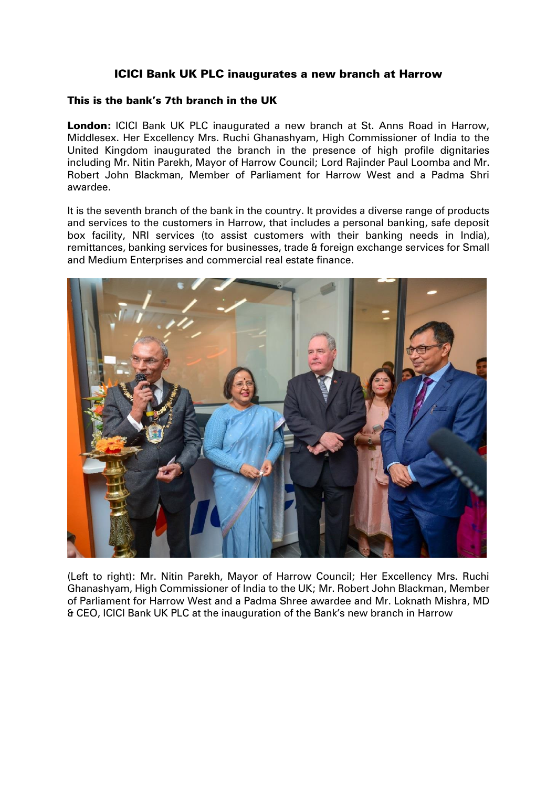## ICICI Bank UK PLC inaugurates a new branch at Harrow

## This is the bank's 7th branch in the UK

London: ICICI Bank UK PLC inaugurated a new branch at St. Anns Road in Harrow, Middlesex. Her Excellency Mrs. Ruchi Ghanashyam, High Commissioner of India to the United Kingdom inaugurated the branch in the presence of high profile dignitaries including Mr. Nitin Parekh, Mayor of Harrow Council; Lord Rajinder Paul Loomba and Mr. Robert John Blackman, Member of Parliament for Harrow West and a Padma Shri awardee.

It is the seventh branch of the bank in the country. It provides a diverse range of products and services to the customers in Harrow, that includes a personal banking, safe deposit box facility, NRI services (to assist customers with their banking needs in India), remittances, banking services for businesses, trade & foreign exchange services for Small and Medium Enterprises and commercial real estate finance.



(Left to right): Mr. Nitin Parekh, Mayor of Harrow Council; Her Excellency Mrs. Ruchi Ghanashyam, High Commissioner of India to the UK; Mr. Robert John Blackman, Member of Parliament for Harrow West and a Padma Shree awardee and Mr. Loknath Mishra, MD & CEO, ICICI Bank UK PLC at the inauguration of the Bank's new branch in Harrow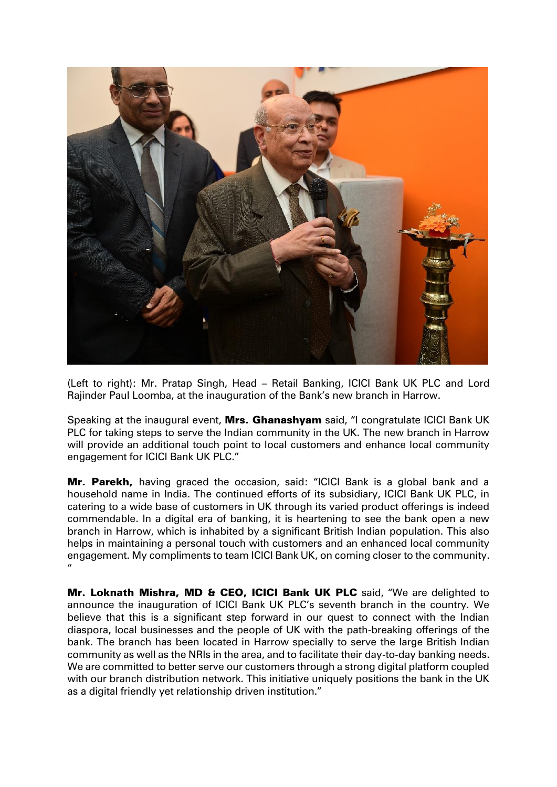

(Left to right): Mr. Pratap Singh, Head – Retail Banking, ICICI Bank UK PLC and Lord Rajinder Paul Loomba, at the inauguration of the Bank's new branch in Harrow.

Speaking at the inaugural event, Mrs. Ghanashyam said, "I congratulate ICICI Bank UK PLC for taking steps to serve the Indian community in the UK. The new branch in Harrow will provide an additional touch point to local customers and enhance local community engagement for ICICI Bank UK PLC."

Mr. Parekh, having graced the occasion, said: "ICICI Bank is a global bank and a household name in India. The continued efforts of its subsidiary, ICICI Bank UK PLC, in catering to a wide base of customers in UK through its varied product offerings is indeed commendable. In a digital era of banking, it is heartening to see the bank open a new branch in Harrow, which is inhabited by a significant British Indian population. This also helps in maintaining a personal touch with customers and an enhanced local community engagement. My compliments to team ICICI Bank UK, on coming closer to the community. "

Mr. Loknath Mishra, MD & CEO, ICICI Bank UK PLC said, "We are delighted to announce the inauguration of ICICI Bank UK PLC's seventh branch in the country. We believe that this is a significant step forward in our quest to connect with the Indian diaspora, local businesses and the people of UK with the path-breaking offerings of the bank. The branch has been located in Harrow specially to serve the large British Indian community as well as the NRIs in the area, and to facilitate their day-to-day banking needs. We are committed to better serve our customers through a strong digital platform coupled with our branch distribution network. This initiative uniquely positions the bank in the UK as a digital friendly yet relationship driven institution."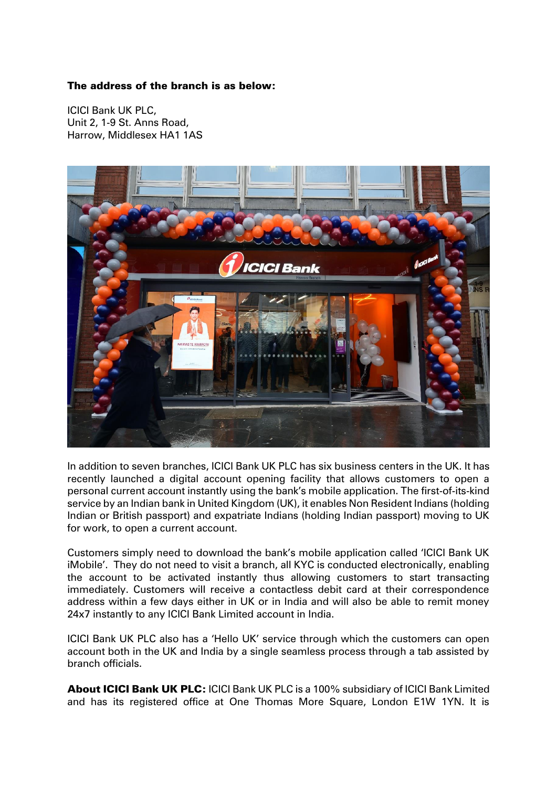## The address of the branch is as below:

ICICI Bank UK PLC, Unit 2, 1-9 St. Anns Road, Harrow, Middlesex HA1 1AS



In addition to seven branches, ICICI Bank UK PLC has six business centers in the UK. It has recently launched a digital account opening facility that allows customers to open a personal current account instantly using the bank's mobile application. The first-of-its-kind service by an Indian bank in United Kingdom (UK), it enables Non Resident Indians (holding Indian or British passport) and expatriate Indians (holding Indian passport) moving to UK for work, to open a current account.

Customers simply need to download the bank's mobile application called 'ICICI Bank UK iMobile'. They do not need to visit a branch, all KYC is conducted electronically, enabling the account to be activated instantly thus allowing customers to start transacting immediately. Customers will receive a contactless debit card at their correspondence address within a few days either in UK or in India and will also be able to remit money 24x7 instantly to any ICICI Bank Limited account in India.

ICICI Bank UK PLC also has a 'Hello UK' service through which the customers can open account both in the UK and India by a single seamless process through a tab assisted by branch officials.

About ICICI Bank UK PLC: ICICI Bank UK PLC is a 100% subsidiary of ICICI Bank Limited and has its registered office at One Thomas More Square, London E1W 1YN. It is